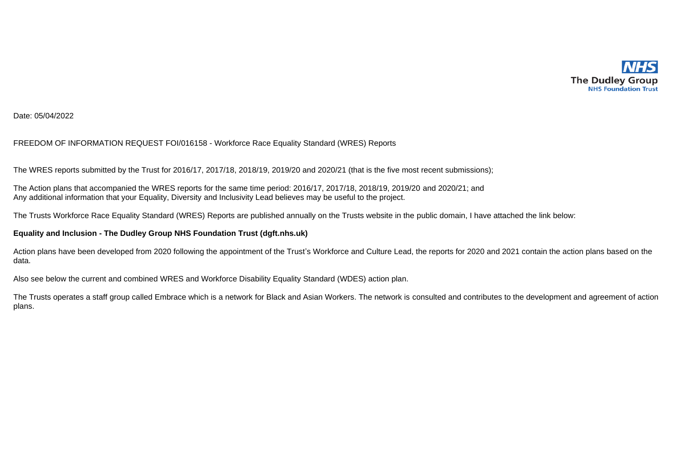

## Date: 05/04/2022

## FREEDOM OF INFORMATION REQUEST FOI/016158 - Workforce Race Equality Standard (WRES) Reports

The WRES reports submitted by the Trust for 2016/17, 2017/18, 2018/19, 2019/20 and 2020/21 (that is the five most recent submissions);

The Action plans that accompanied the WRES reports for the same time period: 2016/17, 2017/18, 2018/19, 2019/20 and 2020/21; and Any additional information that your Equality, Diversity and Inclusivity Lead believes may be useful to the project.

The Trusts Workforce Race Equality Standard (WRES) Reports are published annually on the Trusts website in the public domain, I have attached the link below:

## **Equality and Inclusion - The Dudley Group NHS Foundation Trust (dgft.nhs.uk)**

Action plans have been developed from 2020 following the appointment of the Trust's Workforce and Culture Lead, the reports for 2020 and 2021 contain the action plans based on the data.

Also see below the current and combined WRES and Workforce Disability Equality Standard (WDES) action plan.

The Trusts operates a staff group called Embrace which is a network for Black and Asian Workers. The network is consulted and contributes to the development and agreement of action plans.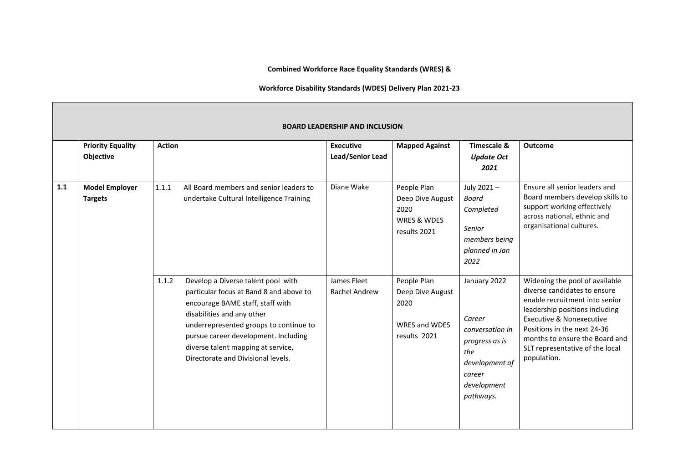**Combined Workforce Race Equality Standards (WRES) &** 

## **Workforce Disability Standards (WDES) Delivery Plan 2021-23**

|     | <b>BOARD LEADERSHIP AND INCLUSION</b>   |                                                                                                                                                                                                                                                                                                                        |                                      |                                                                          |                                                                                                                            |                                                                                                                                                                                                                                                                                              |  |  |  |  |  |  |
|-----|-----------------------------------------|------------------------------------------------------------------------------------------------------------------------------------------------------------------------------------------------------------------------------------------------------------------------------------------------------------------------|--------------------------------------|--------------------------------------------------------------------------|----------------------------------------------------------------------------------------------------------------------------|----------------------------------------------------------------------------------------------------------------------------------------------------------------------------------------------------------------------------------------------------------------------------------------------|--|--|--|--|--|--|
|     | <b>Priority Equality</b><br>Objective   | <b>Action</b>                                                                                                                                                                                                                                                                                                          | <b>Executive</b><br>Lead/Senior Lead | <b>Mapped Against</b>                                                    | Timescale &<br><b>Update Oct</b><br>2021                                                                                   | <b>Outcome</b>                                                                                                                                                                                                                                                                               |  |  |  |  |  |  |
| 1.1 | <b>Model Employer</b><br><b>Targets</b> | 1.1.1<br>All Board members and senior leaders to<br>undertake Cultural Intelligence Training                                                                                                                                                                                                                           | Diane Wake                           | People Plan<br>Deep Dive August<br>2020<br>WRES & WDES<br>results 2021   | July 2021-<br>Board<br>Completed<br>Senior<br>members being<br>planned in Jan<br>2022                                      | Ensure all senior leaders and<br>Board members develop skills to<br>support working effectively<br>across national, ethnic and<br>organisational cultures.                                                                                                                                   |  |  |  |  |  |  |
|     |                                         | Develop a Diverse talent pool with<br>1.1.2<br>particular focus at Band 8 and above to<br>encourage BAME staff, staff with<br>disabilities and any other<br>underrepresented groups to continue to<br>pursue career development. Including<br>diverse talent mapping at service,<br>Directorate and Divisional levels. | James Fleet<br>Rachel Andrew         | People Plan<br>Deep Dive August<br>2020<br>WRES and WDES<br>results 2021 | January 2022<br>Career<br>conversation in<br>progress as is<br>the<br>development of<br>career<br>development<br>pathways. | Widening the pool of available<br>diverse candidates to ensure<br>enable recruitment into senior<br>leadership positions including<br><b>Executive &amp; Nonexecutive</b><br>Positions in the next 24-36<br>months to ensure the Board and<br>SLT representative of the local<br>population. |  |  |  |  |  |  |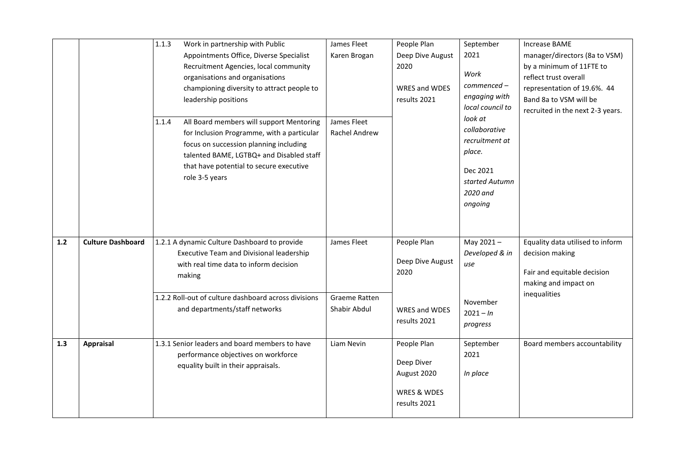|       |                          | 1.1.3<br>Work in partnership with Public<br>Appointments Office, Diverse Specialist<br>Recruitment Agencies, local community<br>organisations and organisations<br>championing diversity to attract people to<br>leadership positions<br>All Board members will support Mentoring<br>1.1.4<br>for Inclusion Programme, with a particular<br>focus on succession planning including<br>talented BAME, LGTBQ+ and Disabled staff<br>that have potential to secure executive<br>role 3-5 years | James Fleet<br>Karen Brogan<br>James Fleet<br>Rachel Andrew | People Plan<br>Deep Dive August<br>2020<br>WRES and WDES<br>results 2021 | September<br>2021<br>Work<br>commenced -<br>engaging with<br>local council to<br>look at<br>collaborative<br>recruitment at<br>place.<br>Dec 2021<br>started Autumn<br>2020 and<br>ongoing | <b>Increase BAME</b><br>manager/directors (8a to VSM)<br>by a minimum of 11FTE to<br>reflect trust overall<br>representation of 19.6%. 44<br>Band 8a to VSM will be<br>recruited in the next 2-3 years. |
|-------|--------------------------|---------------------------------------------------------------------------------------------------------------------------------------------------------------------------------------------------------------------------------------------------------------------------------------------------------------------------------------------------------------------------------------------------------------------------------------------------------------------------------------------|-------------------------------------------------------------|--------------------------------------------------------------------------|--------------------------------------------------------------------------------------------------------------------------------------------------------------------------------------------|---------------------------------------------------------------------------------------------------------------------------------------------------------------------------------------------------------|
| $1.2$ | <b>Culture Dashboard</b> | 1.2.1 A dynamic Culture Dashboard to provide<br>Executive Team and Divisional leadership<br>with real time data to inform decision<br>making<br>1.2.2 Roll-out of culture dashboard across divisions<br>and departments/staff networks                                                                                                                                                                                                                                                      | James Fleet<br>Graeme Ratten<br>Shabir Abdul                | People Plan<br>Deep Dive August<br>2020<br>WRES and WDES<br>results 2021 | May 2021-<br>Developed & in<br>use<br>November<br>$2021 - In$<br>progress                                                                                                                  | Equality data utilised to inform<br>decision making<br>Fair and equitable decision<br>making and impact on<br>inequalities                                                                              |
| 1.3   | <b>Appraisal</b>         | 1.3.1 Senior leaders and board members to have<br>performance objectives on workforce<br>equality built in their appraisals.                                                                                                                                                                                                                                                                                                                                                                | Liam Nevin                                                  | People Plan<br>Deep Diver<br>August 2020<br>WRES & WDES<br>results 2021  | September<br>2021<br>In place                                                                                                                                                              | Board members accountability                                                                                                                                                                            |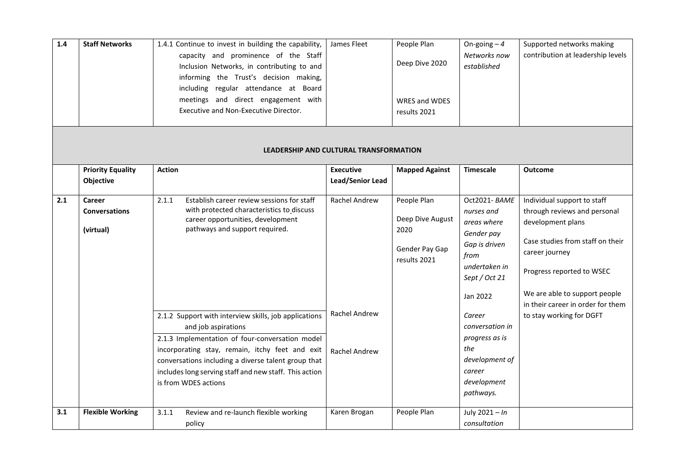| $1.4$ | <b>Staff Networks</b>                       | 1.4.1 Continue to invest in building the capability,<br>capacity and prominence of the Staff<br>Inclusion Networks, in contributing to and<br>informing the Trust's decision making,<br>including regular attendance at Board<br>meetings and direct engagement with<br>Executive and Non-Executive Director.               | James Fleet                            | People Plan<br>Deep Dive 2020<br><b>WRES and WDES</b><br>results 2021     | On-going $-4$<br>Networks now<br>established                                                                                   | Supported networks making<br>contribution at leadership levels                                                                                                                                                                            |
|-------|---------------------------------------------|-----------------------------------------------------------------------------------------------------------------------------------------------------------------------------------------------------------------------------------------------------------------------------------------------------------------------------|----------------------------------------|---------------------------------------------------------------------------|--------------------------------------------------------------------------------------------------------------------------------|-------------------------------------------------------------------------------------------------------------------------------------------------------------------------------------------------------------------------------------------|
|       |                                             |                                                                                                                                                                                                                                                                                                                             | LEADERSHIP AND CULTURAL TRANSFORMATION |                                                                           |                                                                                                                                |                                                                                                                                                                                                                                           |
|       | <b>Priority Equality</b><br>Objective       | <b>Action</b>                                                                                                                                                                                                                                                                                                               | <b>Executive</b><br>Lead/Senior Lead   | <b>Mapped Against</b>                                                     | <b>Timescale</b>                                                                                                               | <b>Outcome</b>                                                                                                                                                                                                                            |
| 2.1   | Career<br><b>Conversations</b><br>(virtual) | 2.1.1<br>Establish career review sessions for staff<br>with protected characteristics to discuss<br>career opportunities, development<br>pathways and support required.                                                                                                                                                     | <b>Rachel Andrew</b>                   | People Plan<br>Deep Dive August<br>2020<br>Gender Pay Gap<br>results 2021 | Oct2021-BAME<br>nurses and<br>areas where<br>Gender pay<br>Gap is driven<br>from<br>undertaken in<br>Sept / Oct 21<br>Jan 2022 | Individual support to staff<br>through reviews and personal<br>development plans<br>Case studies from staff on their<br>career journey<br>Progress reported to WSEC<br>We are able to support people<br>in their career in order for them |
|       |                                             | 2.1.2 Support with interview skills, job applications<br>and job aspirations<br>2.1.3 Implementation of four-conversation model<br>incorporating stay, remain, itchy feet and exit<br>conversations including a diverse talent group that<br>includes long serving staff and new staff. This action<br>is from WDES actions | Rachel Andrew<br><b>Rachel Andrew</b>  |                                                                           | Career<br>conversation in<br>progress as is<br>the<br>development of<br>career<br>development                                  | to stay working for DGFT                                                                                                                                                                                                                  |
| 3.1   | <b>Flexible Working</b>                     | 3.1.1<br>Review and re-launch flexible working                                                                                                                                                                                                                                                                              | Karen Brogan                           | People Plan                                                               | pathways.<br>July $2021 - In$                                                                                                  |                                                                                                                                                                                                                                           |
|       |                                             | policy                                                                                                                                                                                                                                                                                                                      |                                        |                                                                           | consultation                                                                                                                   |                                                                                                                                                                                                                                           |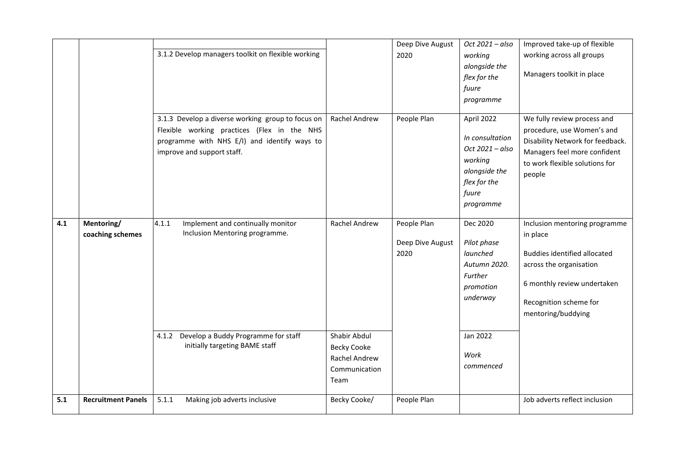|     |                                | 3.1.2 Develop managers toolkit on flexible working                                                                                                                             |                                                                              | Deep Dive August<br>2020                | Oct 2021 - also<br>working<br>alongside the<br>flex for the<br>fuure<br>programme                                  | Improved take-up of flexible<br>working across all groups<br>Managers toolkit in place                                                                                                     |
|-----|--------------------------------|--------------------------------------------------------------------------------------------------------------------------------------------------------------------------------|------------------------------------------------------------------------------|-----------------------------------------|--------------------------------------------------------------------------------------------------------------------|--------------------------------------------------------------------------------------------------------------------------------------------------------------------------------------------|
|     |                                | 3.1.3 Develop a diverse working group to focus on<br>Flexible working practices (Flex in the NHS<br>programme with NHS E/I) and identify ways to<br>improve and support staff. | Rachel Andrew                                                                | People Plan                             | April 2022<br>In consultation<br>Oct 2021 - also<br>working<br>alongside the<br>flex for the<br>fuure<br>programme | We fully review process and<br>procedure, use Women's and<br>Disability Network for feedback.<br>Managers feel more confident<br>to work flexible solutions for<br>people                  |
| 4.1 | Mentoring/<br>coaching schemes | 4.1.1<br>Implement and continually monitor<br>Inclusion Mentoring programme.                                                                                                   | Rachel Andrew                                                                | People Plan<br>Deep Dive August<br>2020 | Dec 2020<br>Pilot phase<br>launched<br>Autumn 2020.<br>Further<br>promotion<br>underway                            | Inclusion mentoring programme<br>in place<br><b>Buddies identified allocated</b><br>across the organisation<br>6 monthly review undertaken<br>Recognition scheme for<br>mentoring/buddying |
|     |                                | Develop a Buddy Programme for staff<br>4.1.2<br>initially targeting BAME staff                                                                                                 | Shabir Abdul<br><b>Becky Cooke</b><br>Rachel Andrew<br>Communication<br>Team |                                         | Jan 2022<br>Work<br>commenced                                                                                      |                                                                                                                                                                                            |
| 5.1 | <b>Recruitment Panels</b>      | 5.1.1<br>Making job adverts inclusive                                                                                                                                          | Becky Cooke/                                                                 | People Plan                             |                                                                                                                    | Job adverts reflect inclusion                                                                                                                                                              |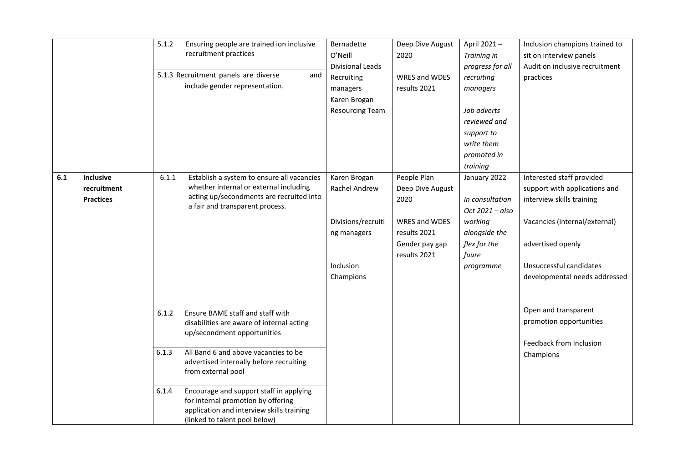|     |                  | 5.1.2 | Ensuring people are trained ion inclusive   | Bernadette             | Deep Dive August     | April 2021-      | Inclusion champions trained to |
|-----|------------------|-------|---------------------------------------------|------------------------|----------------------|------------------|--------------------------------|
|     |                  |       | recruitment practices                       | O'Neill                | 2020                 | Training in      | sit on interview panels        |
|     |                  |       |                                             | Divisional Leads       |                      | progress for all | Audit on inclusive recruitment |
|     |                  |       | 5.1.3 Recruitment panels are diverse<br>and | Recruiting             | <b>WRES and WDES</b> | recruiting       | practices                      |
|     |                  |       | include gender representation.              | managers               | results 2021         | managers         |                                |
|     |                  |       |                                             | Karen Brogan           |                      |                  |                                |
|     |                  |       |                                             | <b>Resourcing Team</b> |                      | Job adverts      |                                |
|     |                  |       |                                             |                        |                      | reviewed and     |                                |
|     |                  |       |                                             |                        |                      | support to       |                                |
|     |                  |       |                                             |                        |                      | write them       |                                |
|     |                  |       |                                             |                        |                      | promoted in      |                                |
|     |                  |       |                                             |                        |                      | training         |                                |
| 6.1 | Inclusive        | 6.1.1 | Establish a system to ensure all vacancies  | Karen Brogan           | People Plan          | January 2022     | Interested staff provided      |
|     | recruitment      |       | whether internal or external including      | Rachel Andrew          | Deep Dive August     |                  | support with applications and  |
|     | <b>Practices</b> |       | acting up/secondments are recruited into    |                        | 2020                 | In consultation  | interview skills training      |
|     |                  |       | a fair and transparent process.             |                        |                      | Oct 2021 - also  |                                |
|     |                  |       |                                             | Divisions/recruiti     | WRES and WDES        | working          | Vacancies (internal/external)  |
|     |                  |       |                                             | ng managers            | results 2021         | alongside the    |                                |
|     |                  |       |                                             |                        | Gender pay gap       | flex for the     | advertised openly              |
|     |                  |       |                                             |                        | results 2021         | fuure            |                                |
|     |                  |       |                                             | Inclusion              |                      | programme        | Unsuccessful candidates        |
|     |                  |       |                                             | Champions              |                      |                  | developmental needs addressed  |
|     |                  |       |                                             |                        |                      |                  |                                |
|     |                  |       |                                             |                        |                      |                  |                                |
|     |                  | 6.1.2 | Ensure BAME staff and staff with            |                        |                      |                  | Open and transparent           |
|     |                  |       | disabilities are aware of internal acting   |                        |                      |                  | promotion opportunities        |
|     |                  |       | up/secondment opportunities                 |                        |                      |                  |                                |
|     |                  |       |                                             |                        |                      |                  | Feedback from Inclusion        |
|     |                  | 6.1.3 | All Band 6 and above vacancies to be        |                        |                      |                  | Champions                      |
|     |                  |       | advertised internally before recruiting     |                        |                      |                  |                                |
|     |                  |       | from external pool                          |                        |                      |                  |                                |
|     |                  | 6.1.4 | Encourage and support staff in applying     |                        |                      |                  |                                |
|     |                  |       | for internal promotion by offering          |                        |                      |                  |                                |
|     |                  |       | application and interview skills training   |                        |                      |                  |                                |
|     |                  |       | (linked to talent pool below)               |                        |                      |                  |                                |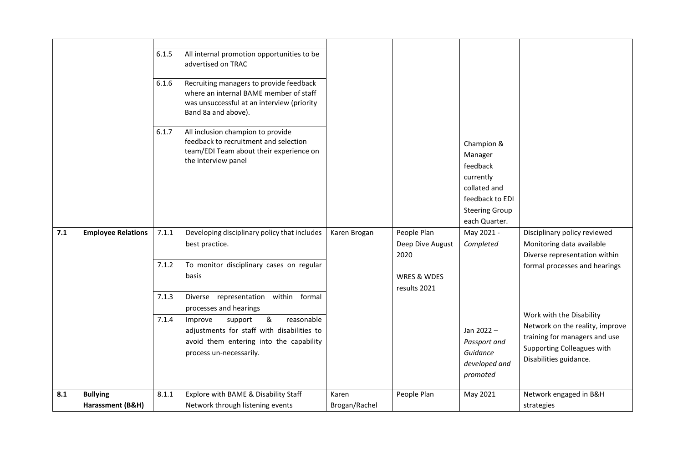|     |                                     | 6.1.5<br>6.1.6<br>6.1.7          | All internal promotion opportunities to be<br>advertised on TRAC<br>Recruiting managers to provide feedback<br>where an internal BAME member of staff<br>was unsuccessful at an interview (priority<br>Band 8a and above).<br>All inclusion champion to provide<br>feedback to recruitment and selection<br>team/EDI Team about their experience on<br>the interview panel |                        |                                                                        | Champion &<br>Manager<br>feedback<br>currently<br>collated and<br>feedback to EDI<br><b>Steering Group</b><br>each Quarter. |                                                                                                                                                                                                                                                                                     |
|-----|-------------------------------------|----------------------------------|----------------------------------------------------------------------------------------------------------------------------------------------------------------------------------------------------------------------------------------------------------------------------------------------------------------------------------------------------------------------------|------------------------|------------------------------------------------------------------------|-----------------------------------------------------------------------------------------------------------------------------|-------------------------------------------------------------------------------------------------------------------------------------------------------------------------------------------------------------------------------------------------------------------------------------|
| 7.1 | <b>Employee Relations</b>           | 7.1.1<br>7.1.2<br>7.1.3<br>7.1.4 | Developing disciplinary policy that includes<br>best practice.<br>To monitor disciplinary cases on regular<br>basis<br>Diverse representation within formal<br>processes and hearings<br>&<br>support<br>reasonable<br>Improve<br>adjustments for staff with disabilities to<br>avoid them entering into the capability<br>process un-necessarily.                         | Karen Brogan           | People Plan<br>Deep Dive August<br>2020<br>WRES & WDES<br>results 2021 | May 2021 -<br>Completed<br>Jan 2022 -<br>Passport and<br>Guidance<br>developed and<br>promoted                              | Disciplinary policy reviewed<br>Monitoring data available<br>Diverse representation within<br>formal processes and hearings<br>Work with the Disability<br>Network on the reality, improve<br>training for managers and use<br>Supporting Colleagues with<br>Disabilities guidance. |
| 8.1 | <b>Bullying</b><br>Harassment (B&H) | 8.1.1                            | Explore with BAME & Disability Staff<br>Network through listening events                                                                                                                                                                                                                                                                                                   | Karen<br>Brogan/Rachel | People Plan                                                            | May 2021                                                                                                                    | Network engaged in B&H<br>strategies                                                                                                                                                                                                                                                |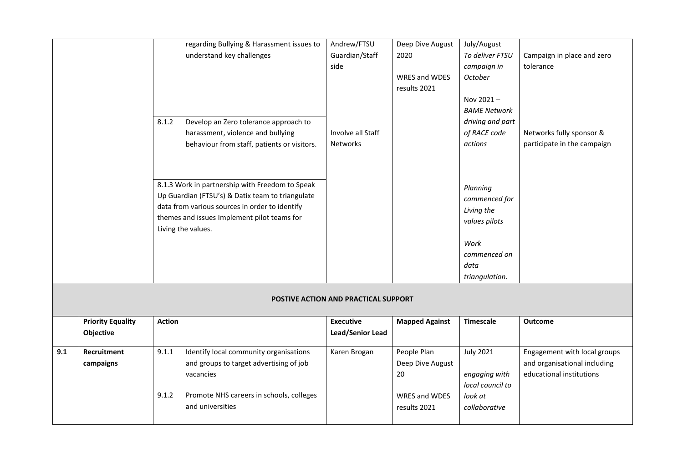|     |                          | regarding Bullying & Harassment issues to         | Andrew/FTSU                                 | Deep Dive August      | July/August         |                              |
|-----|--------------------------|---------------------------------------------------|---------------------------------------------|-----------------------|---------------------|------------------------------|
|     |                          | understand key challenges                         | Guardian/Staff                              | 2020                  | To deliver FTSU     | Campaign in place and zero   |
|     |                          |                                                   | side                                        |                       | campaign in         | tolerance                    |
|     |                          |                                                   |                                             | <b>WRES and WDES</b>  | October             |                              |
|     |                          |                                                   |                                             | results 2021          |                     |                              |
|     |                          |                                                   |                                             |                       | Nov 2021-           |                              |
|     |                          |                                                   |                                             |                       | <b>BAME Network</b> |                              |
|     |                          | 8.1.2<br>Develop an Zero tolerance approach to    |                                             |                       | driving and part    |                              |
|     |                          | harassment, violence and bullying                 | Involve all Staff                           |                       | of RACE code        | Networks fully sponsor &     |
|     |                          | behaviour from staff, patients or visitors.       | <b>Networks</b>                             |                       | actions             | participate in the campaign  |
|     |                          |                                                   |                                             |                       |                     |                              |
|     |                          |                                                   |                                             |                       |                     |                              |
|     |                          |                                                   |                                             |                       |                     |                              |
|     |                          | 8.1.3 Work in partnership with Freedom to Speak   |                                             |                       |                     |                              |
|     |                          | Up Guardian (FTSU's) & Datix team to triangulate  |                                             |                       | Planning            |                              |
|     |                          | data from various sources in order to identify    |                                             |                       | commenced for       |                              |
|     |                          |                                                   |                                             |                       | Living the          |                              |
|     |                          | themes and issues Implement pilot teams for       |                                             |                       | values pilots       |                              |
|     |                          | Living the values.                                |                                             |                       |                     |                              |
|     |                          |                                                   |                                             |                       | Work                |                              |
|     |                          |                                                   |                                             |                       | commenced on        |                              |
|     |                          |                                                   |                                             |                       | data                |                              |
|     |                          |                                                   |                                             |                       | triangulation.      |                              |
|     |                          |                                                   |                                             |                       |                     |                              |
|     |                          |                                                   | <b>POSTIVE ACTION AND PRACTICAL SUPPORT</b> |                       |                     |                              |
|     |                          |                                                   |                                             |                       |                     |                              |
|     | <b>Priority Equality</b> | <b>Action</b>                                     | <b>Executive</b>                            | <b>Mapped Against</b> | <b>Timescale</b>    | Outcome                      |
|     | Objective                |                                                   | Lead/Senior Lead                            |                       |                     |                              |
|     |                          |                                                   |                                             |                       |                     |                              |
| 9.1 | Recruitment              | 9.1.1<br>Identify local community organisations   | Karen Brogan                                | People Plan           | <b>July 2021</b>    | Engagement with local groups |
|     | campaigns                | and groups to target advertising of job           |                                             | Deep Dive August      |                     | and organisational including |
|     |                          | vacancies                                         |                                             | 20                    | engaging with       | educational institutions     |
|     |                          |                                                   |                                             |                       | local council to    |                              |
|     |                          | 9.1.2<br>Promote NHS careers in schools, colleges |                                             | <b>WRES and WDES</b>  | look at             |                              |
|     |                          | and universities                                  |                                             | results 2021          | collaborative       |                              |
|     |                          |                                                   |                                             |                       |                     |                              |
|     |                          |                                                   |                                             |                       |                     |                              |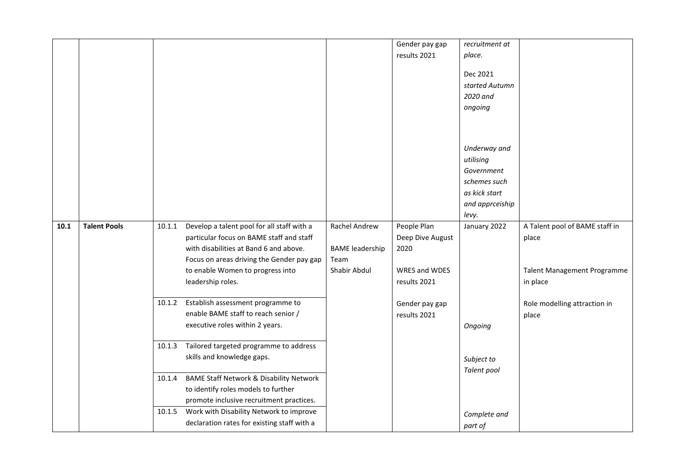|      |                     |        |                                                    |                        | Gender pay gap   | recruitment at  |                                    |
|------|---------------------|--------|----------------------------------------------------|------------------------|------------------|-----------------|------------------------------------|
|      |                     |        |                                                    |                        | results 2021     | place.          |                                    |
|      |                     |        |                                                    |                        |                  |                 |                                    |
|      |                     |        |                                                    |                        |                  | Dec 2021        |                                    |
|      |                     |        |                                                    |                        |                  | started Autumn  |                                    |
|      |                     |        |                                                    |                        |                  | 2020 and        |                                    |
|      |                     |        |                                                    |                        |                  | ongoing         |                                    |
|      |                     |        |                                                    |                        |                  |                 |                                    |
|      |                     |        |                                                    |                        |                  |                 |                                    |
|      |                     |        |                                                    |                        |                  | Underway and    |                                    |
|      |                     |        |                                                    |                        |                  | utilising       |                                    |
|      |                     |        |                                                    |                        |                  | Government      |                                    |
|      |                     |        |                                                    |                        |                  | schemes such    |                                    |
|      |                     |        |                                                    |                        |                  | as kick start   |                                    |
|      |                     |        |                                                    |                        |                  | and apprceiship |                                    |
|      |                     |        |                                                    |                        |                  | levy.           |                                    |
| 10.1 | <b>Talent Pools</b> | 10.1.1 | Develop a talent pool for all staff with a         | <b>Rachel Andrew</b>   | People Plan      | January 2022    | A Talent pool of BAME staff in     |
|      |                     |        | particular focus on BAME staff and staff           |                        | Deep Dive August |                 | place                              |
|      |                     |        | with disabilities at Band 6 and above.             | <b>BAME</b> leadership | 2020             |                 |                                    |
|      |                     |        | Focus on areas driving the Gender pay gap          | Team                   |                  |                 |                                    |
|      |                     |        | to enable Women to progress into                   | Shabir Abdul           | WRES and WDES    |                 | <b>Talent Management Programme</b> |
|      |                     |        | leadership roles.                                  |                        | results 2021     |                 | in place                           |
|      |                     |        | 10.1.2 Establish assessment programme to           |                        | Gender pay gap   |                 | Role modelling attraction in       |
|      |                     |        | enable BAME staff to reach senior /                |                        | results 2021     |                 | place                              |
|      |                     |        | executive roles within 2 years.                    |                        |                  | Ongoing         |                                    |
|      |                     |        |                                                    |                        |                  |                 |                                    |
|      |                     | 10.1.3 | Tailored targeted programme to address             |                        |                  |                 |                                    |
|      |                     |        | skills and knowledge gaps.                         |                        |                  | Subject to      |                                    |
|      |                     |        |                                                    |                        |                  | Talent pool     |                                    |
|      |                     | 10.1.4 | <b>BAME Staff Network &amp; Disability Network</b> |                        |                  |                 |                                    |
|      |                     |        | to identify roles models to further                |                        |                  |                 |                                    |
|      |                     |        | promote inclusive recruitment practices.           |                        |                  |                 |                                    |
|      |                     | 10.1.5 | Work with Disability Network to improve            |                        |                  | Complete and    |                                    |
|      |                     |        | declaration rates for existing staff with a        |                        |                  | part of         |                                    |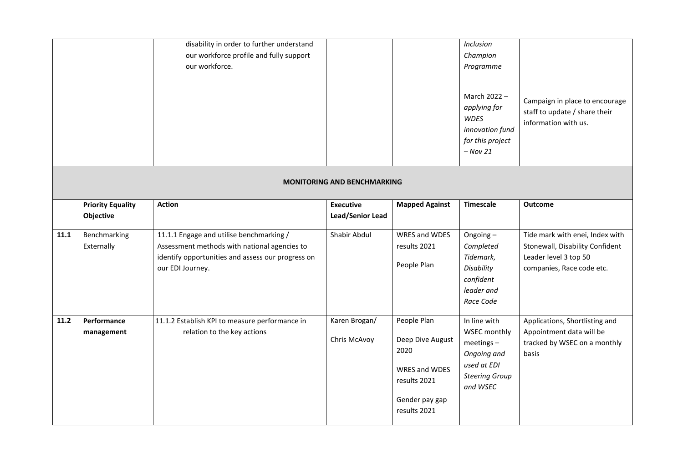|      |                                       | disability in order to further understand<br>our workforce profile and fully support<br>our workforce.                                                            |                                      |                                                                                                            | Inclusion<br>Champion<br>Programme<br>March 2022 -<br>applying for<br><b>WDES</b><br>innovation fund<br>for this project<br>$-$ Nov 21 | Campaign in place to encourage<br>staff to update / share their<br>information with us.                                  |
|------|---------------------------------------|-------------------------------------------------------------------------------------------------------------------------------------------------------------------|--------------------------------------|------------------------------------------------------------------------------------------------------------|----------------------------------------------------------------------------------------------------------------------------------------|--------------------------------------------------------------------------------------------------------------------------|
|      |                                       |                                                                                                                                                                   | <b>MONITORING AND BENCHMARKING</b>   |                                                                                                            |                                                                                                                                        |                                                                                                                          |
|      | <b>Priority Equality</b><br>Objective | <b>Action</b>                                                                                                                                                     | <b>Executive</b><br>Lead/Senior Lead | <b>Mapped Against</b>                                                                                      | Timescale                                                                                                                              | Outcome                                                                                                                  |
| 11.1 | Benchmarking<br>Externally            | 11.1.1 Engage and utilise benchmarking /<br>Assessment methods with national agencies to<br>identify opportunities and assess our progress on<br>our EDI Journey. | Shabir Abdul                         | WRES and WDES<br>results 2021<br>People Plan                                                               | Ongoing-<br>Completed<br>Tidemark,<br>Disability<br>confident<br>leader and<br>Race Code                                               | Tide mark with enei, Index with<br>Stonewall, Disability Confident<br>Leader level 3 top 50<br>companies, Race code etc. |
| 11.2 | Performance<br>management             | 11.1.2 Establish KPI to measure performance in<br>relation to the key actions                                                                                     | Karen Brogan/<br>Chris McAvoy        | People Plan<br>Deep Dive August<br>2020<br>WRES and WDES<br>results 2021<br>Gender pay gap<br>results 2021 | In line with<br>WSEC monthly<br>$meetings -$<br>Ongoing and<br>used at EDI<br><b>Steering Group</b><br>and WSEC                        | Applications, Shortlisting and<br>Appointment data will be<br>tracked by WSEC on a monthly<br>basis                      |